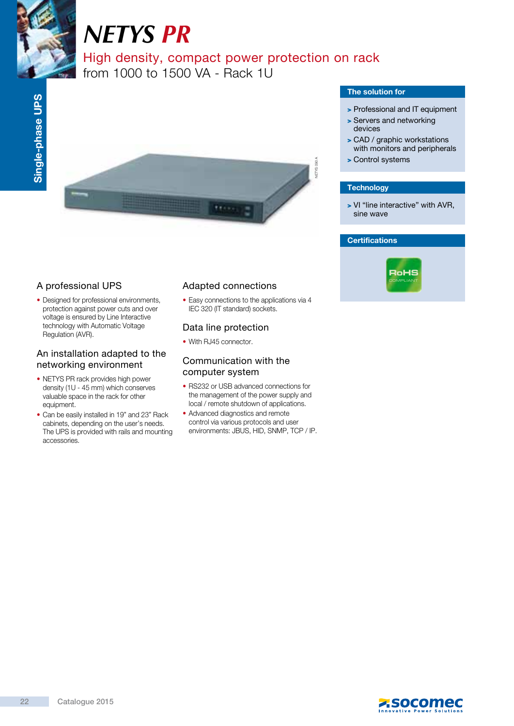

# *NETYS PR*

High density, compact power protection on rack from 1000 to 1500 VA - Rack 1U



# A professional UPS

• Designed for professional environments, protection against power cuts and over voltage is ensured by Line Interactive technology with Automatic Voltage Regulation (AVR).

# An installation adapted to the networking environment

- NETYS PR rack provides high power density (1U - 45 mm) which conserves valuable space in the rack for other equipment.
- Can be easily installed in 19" and 23" Rack cabinets, depending on the user's needs. The UPS is provided with rails and mounting accessories.

# Adapted connections

• Easy connections to the applications via 4 IEC 320 (IT standard) sockets.

# Data line protection

• With RJ45 connector.

# Communication with the computer system

- RS232 or USB advanced connections for the management of the power supply and local / remote shutdown of applications.
- Advanced diagnostics and remote control via various protocols and user environments: JBUS, HID, SNMP, TCP / IP.

### The solution for

- > Professional and IT equipment
- > Servers and networking devices
- > CAD / graphic workstations with monitors and peripherals
- > Control systems

# **Technology**

> VI "line interactive" with AVR, sine wave

# **Certifications**